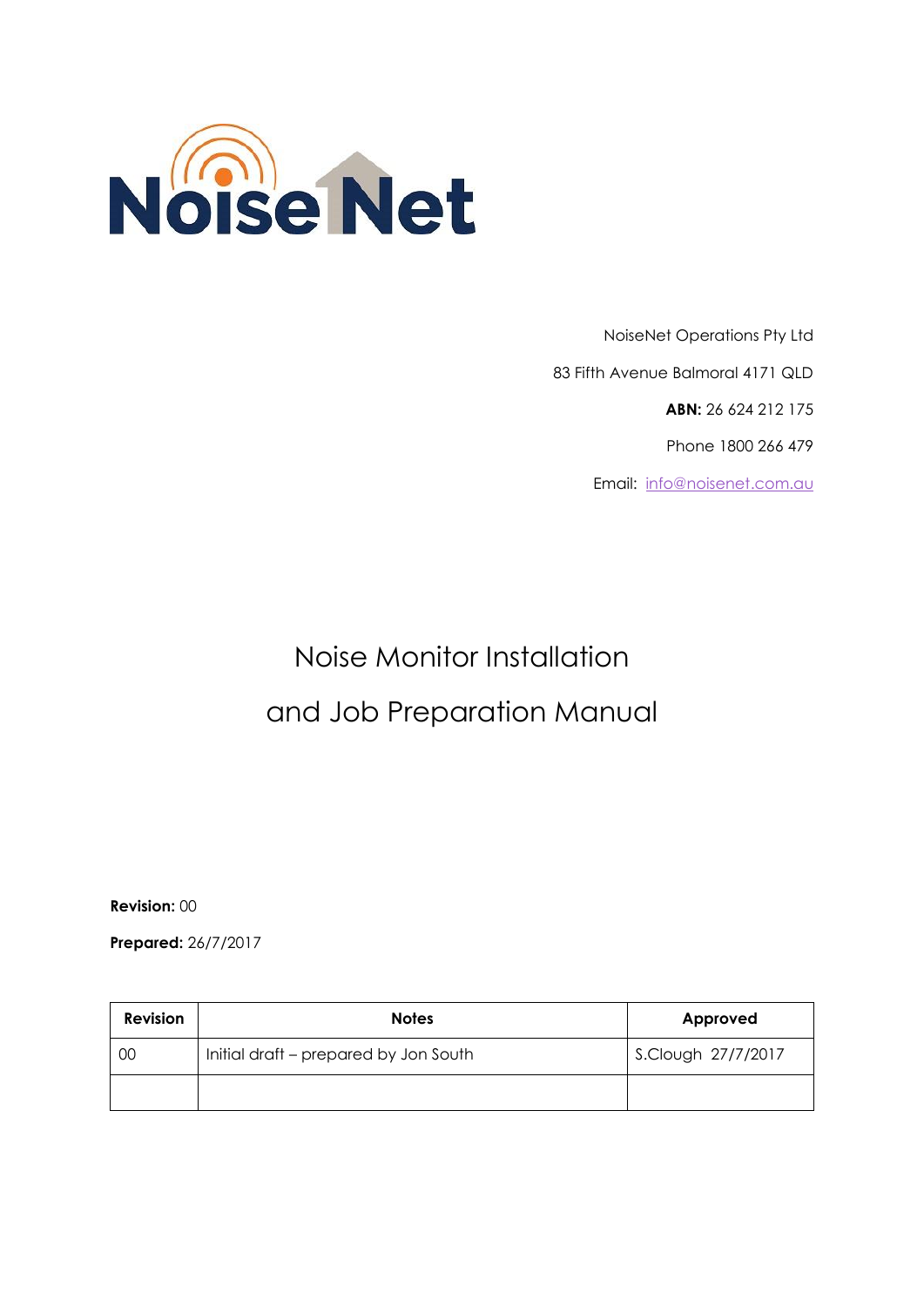

NoiseNet Operations Pty Ltd 83 Fifth Avenue Balmoral 4171 QLD **ABN:** 26 624 212 175 Phone 1800 266 479 Email: [info@noisenet.com.au](mailto:info@noisenet.com.au)

# Noise Monitor Installation and Job Preparation Manual

**Revision:** 00

**Prepared:** 26/7/2017

| <b>Revision</b> | <b>Notes</b>                          | Approved           |
|-----------------|---------------------------------------|--------------------|
| 00              | Initial draft – prepared by Jon South | S.Clough 27/7/2017 |
|                 |                                       |                    |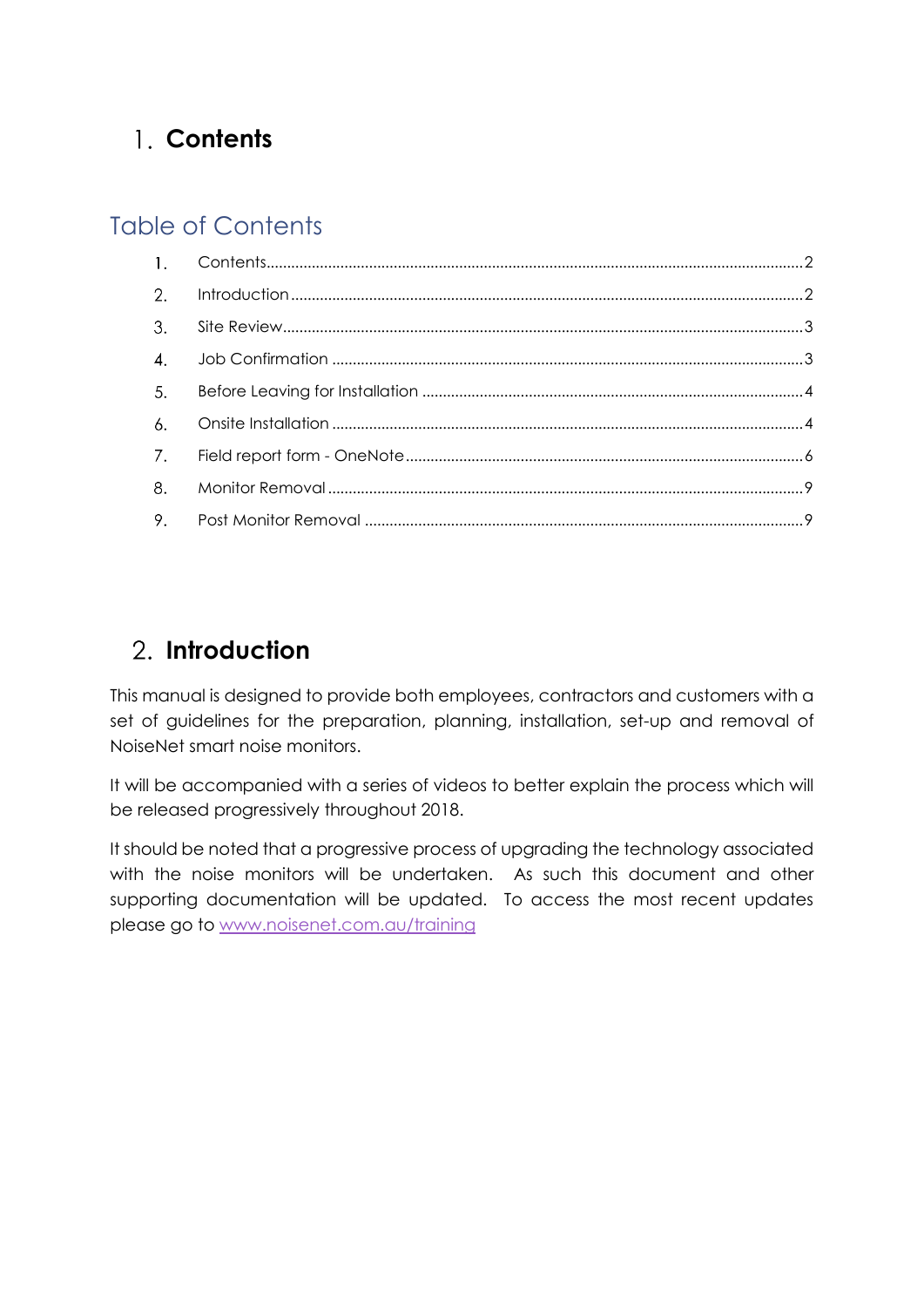# <span id="page-1-0"></span>**Contents**

## Table of Contents

| 2.               |  |
|------------------|--|
| $\overline{3}$ . |  |
| $\overline{4}$ . |  |
| 5.               |  |
| 6.               |  |
| 7.               |  |
| 8.               |  |
|                  |  |

# <span id="page-1-1"></span>**Introduction**

This manual is designed to provide both employees, contractors and customers with a set of guidelines for the preparation, planning, installation, set-up and removal of NoiseNet smart noise monitors.

It will be accompanied with a series of videos to better explain the process which will be released progressively throughout 2018.

It should be noted that a progressive process of upgrading the technology associated with the noise monitors will be undertaken. As such this document and other supporting documentation will be updated. To access the most recent updates please go to [www.noisenet.com.au/training](http://www.noisenet.com.au/training)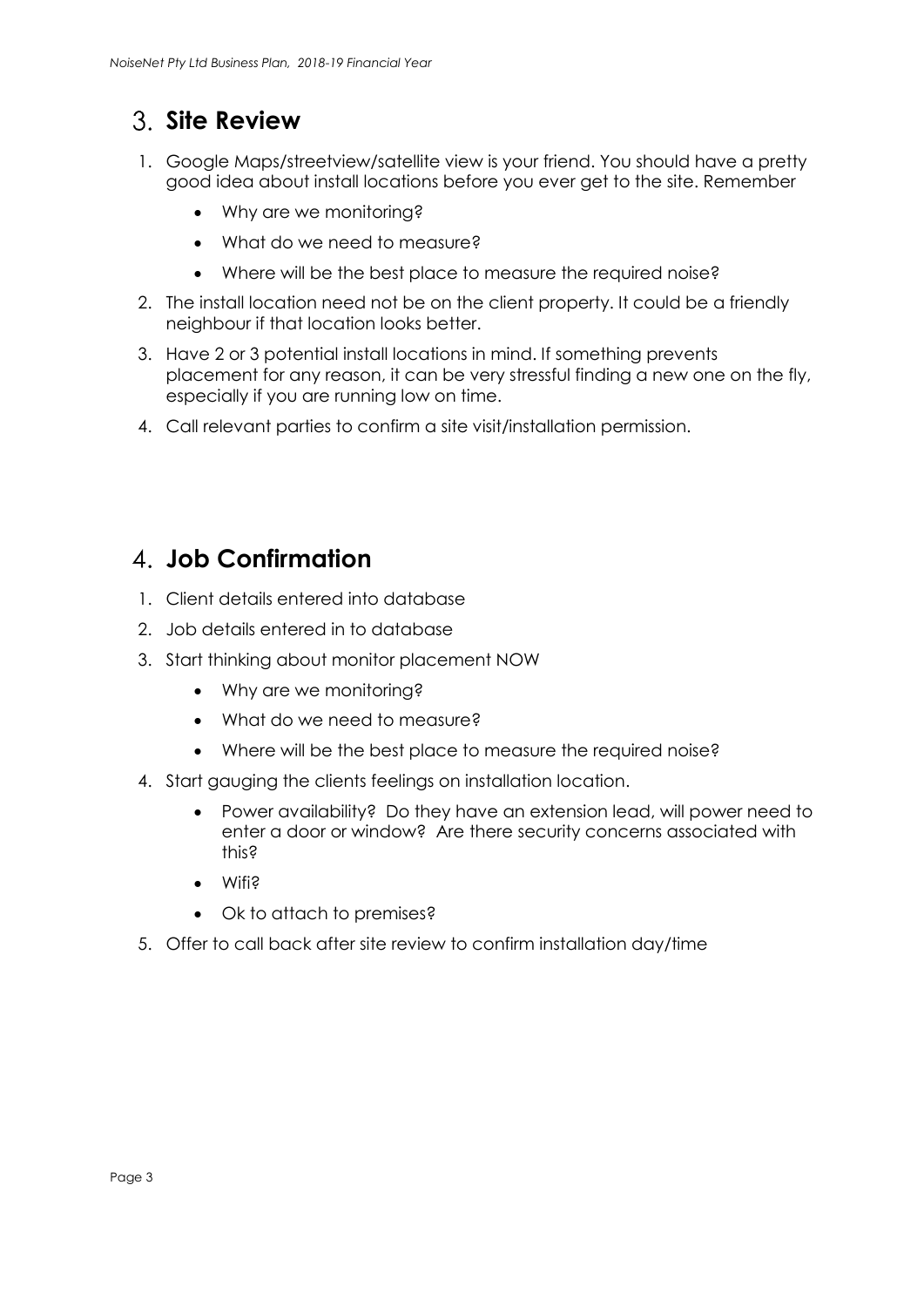# <span id="page-2-0"></span>**Site Review**

- 1. Google Maps/streetview/satellite view is your friend. You should have a pretty good idea about install locations before you ever get to the site. Remember
	- Why are we monitoring?
	- What do we need to measure?
	- Where will be the best place to measure the required noise?
- 2. The install location need not be on the client property. It could be a friendly neighbour if that location looks better.
- 3. Have 2 or 3 potential install locations in mind. If something prevents placement for any reason, it can be very stressful finding a new one on the fly, especially if you are running low on time.
- 4. Call relevant parties to confirm a site visit/installation permission.

#### <span id="page-2-1"></span>**Job Confirmation**

- 1. Client details entered into database
- 2. Job details entered in to database
- 3. Start thinking about monitor placement NOW
	- Why are we monitoring?
	- What do we need to measure?
	- Where will be the best place to measure the required noise?
- 4. Start gauging the clients feelings on installation location.
	- Power availability? Do they have an extension lead, will power need to enter a door or window? Are there security concerns associated with this?
	- Wifi?
	- Ok to attach to premises?
- <span id="page-2-2"></span>5. Offer to call back after site review to confirm installation day/time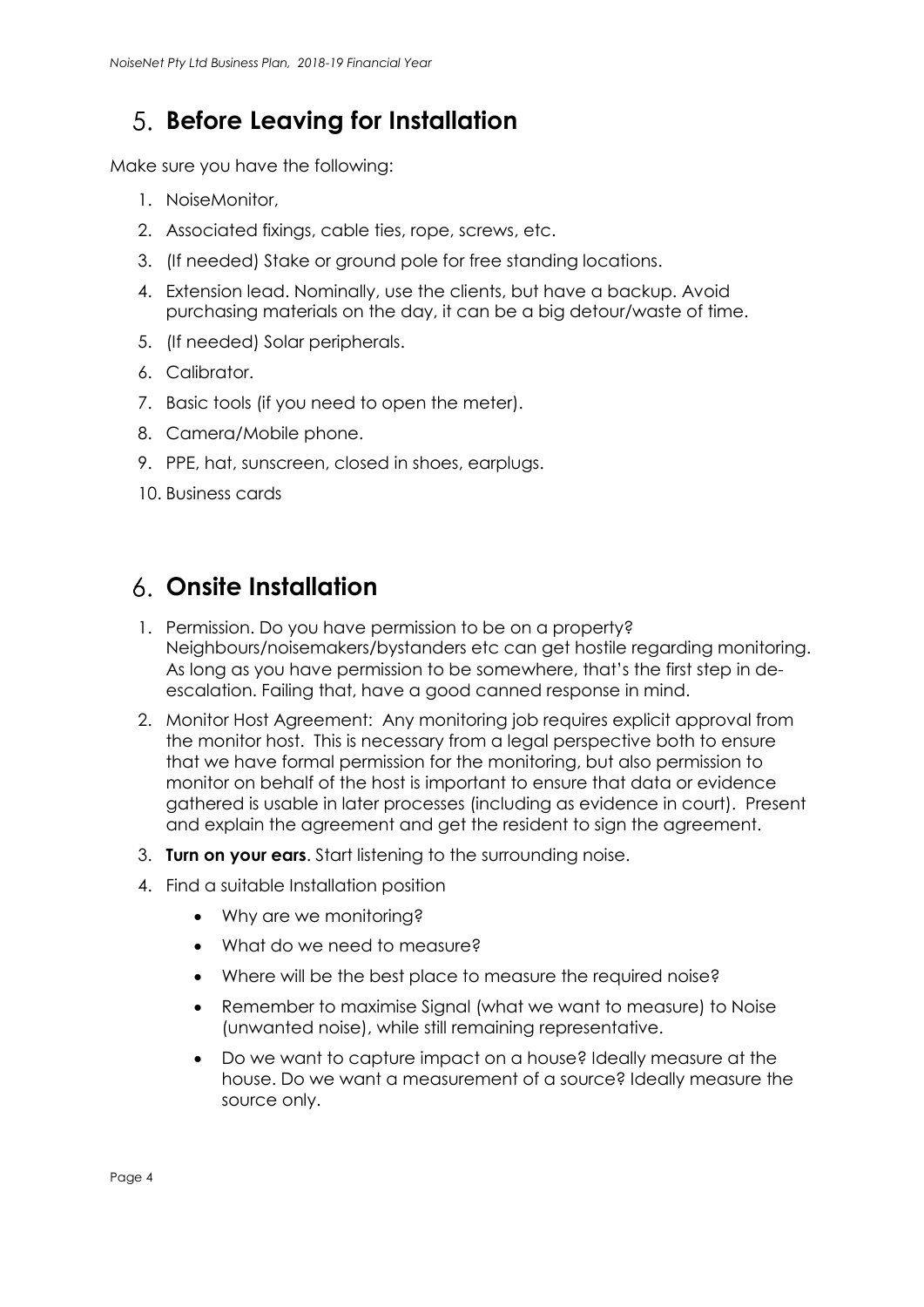## **Before Leaving for Installation**

Make sure you have the following:

- 1. NoiseMonitor,
- 2. Associated fixings, cable ties, rope, screws, etc.
- 3. (If needed) Stake or ground pole for free standing locations.
- 4. Extension lead. Nominally, use the clients, but have a backup. Avoid purchasing materials on the day, it can be a big detour/waste of time.
- 5. (If needed) Solar peripherals.
- 6. Calibrator.
- 7. Basic tools (if you need to open the meter).
- 8. Camera/Mobile phone.
- 9. PPE, hat, sunscreen, closed in shoes, earplugs.
- 10. Business cards

#### <span id="page-3-0"></span>**Onsite Installation**

- 1. Permission. Do you have permission to be on a property? Neighbours/noisemakers/bystanders etc can get hostile regarding monitoring. As long as you have permission to be somewhere, that's the first step in deescalation. Failing that, have a good canned response in mind.
- 2. Monitor Host Agreement: Any monitoring job requires explicit approval from the monitor host. This is necessary from a legal perspective both to ensure that we have formal permission for the monitoring, but also permission to monitor on behalf of the host is important to ensure that data or evidence gathered is usable in later processes (including as evidence in court). Present and explain the agreement and get the resident to sign the agreement.
- 3. **Turn on your ears**. Start listening to the surrounding noise.
- 4. Find a suitable Installation position
	- Why are we monitoring?
	- What do we need to measure?
	- Where will be the best place to measure the required noise?
	- Remember to maximise Signal (what we want to measure) to Noise (unwanted noise), while still remaining representative.
	- Do we want to capture impact on a house? Ideally measure at the house. Do we want a measurement of a source? Ideally measure the source only.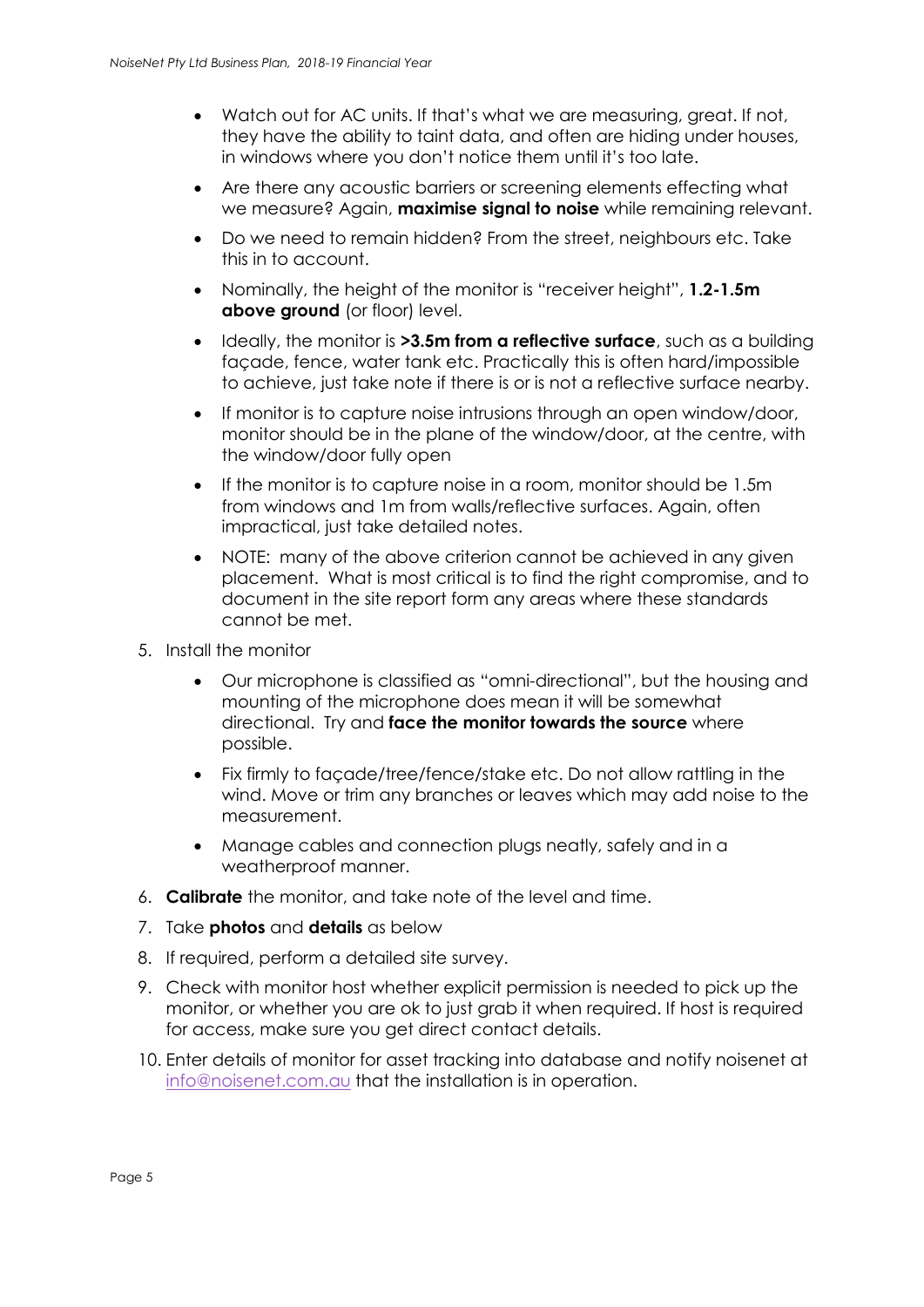- Watch out for AC units. If that's what we are measuring, great. If not, they have the ability to taint data, and often are hiding under houses, in windows where you don't notice them until it's too late.
- Are there any acoustic barriers or screening elements effecting what we measure? Again, **maximise signal to noise** while remaining relevant.
- Do we need to remain hidden? From the street, neighbours etc. Take this in to account.
- Nominally, the height of the monitor is "receiver height", **1.2-1.5m above ground** (or floor) level.
- Ideally, the monitor is **>3.5m from a reflective surface**, such as a building façade, fence, water tank etc. Practically this is often hard/impossible to achieve, just take note if there is or is not a reflective surface nearby.
- If monitor is to capture noise intrusions through an open window/door, monitor should be in the plane of the window/door, at the centre, with the window/door fully open
- If the monitor is to capture noise in a room, monitor should be 1.5m from windows and 1m from walls/reflective surfaces. Again, often impractical, just take detailed notes.
- NOTE: many of the above criterion cannot be achieved in any given placement. What is most critical is to find the right compromise, and to document in the site report form any areas where these standards cannot be met.
- 5. Install the monitor
	- Our microphone is classified as "omni-directional", but the housing and mounting of the microphone does mean it will be somewhat directional. Try and **face the monitor towards the source** where possible.
	- Fix firmly to façade/tree/fence/stake etc. Do not allow rattling in the wind. Move or trim any branches or leaves which may add noise to the measurement.
	- Manage cables and connection plugs neatly, safely and in a weatherproof manner.
- 6. **Calibrate** the monitor, and take note of the level and time.
- 7. Take **photos** and **details** as below
- 8. If required, perform a detailed site survey.
- 9. Check with monitor host whether explicit permission is needed to pick up the monitor, or whether you are ok to just grab it when required. If host is required for access, make sure you get direct contact details.
- 10. Enter details of monitor for asset tracking into database and notify noisenet at [info@noisenet.com.au](mailto:info@noisenet.com.au) that the installation is in operation.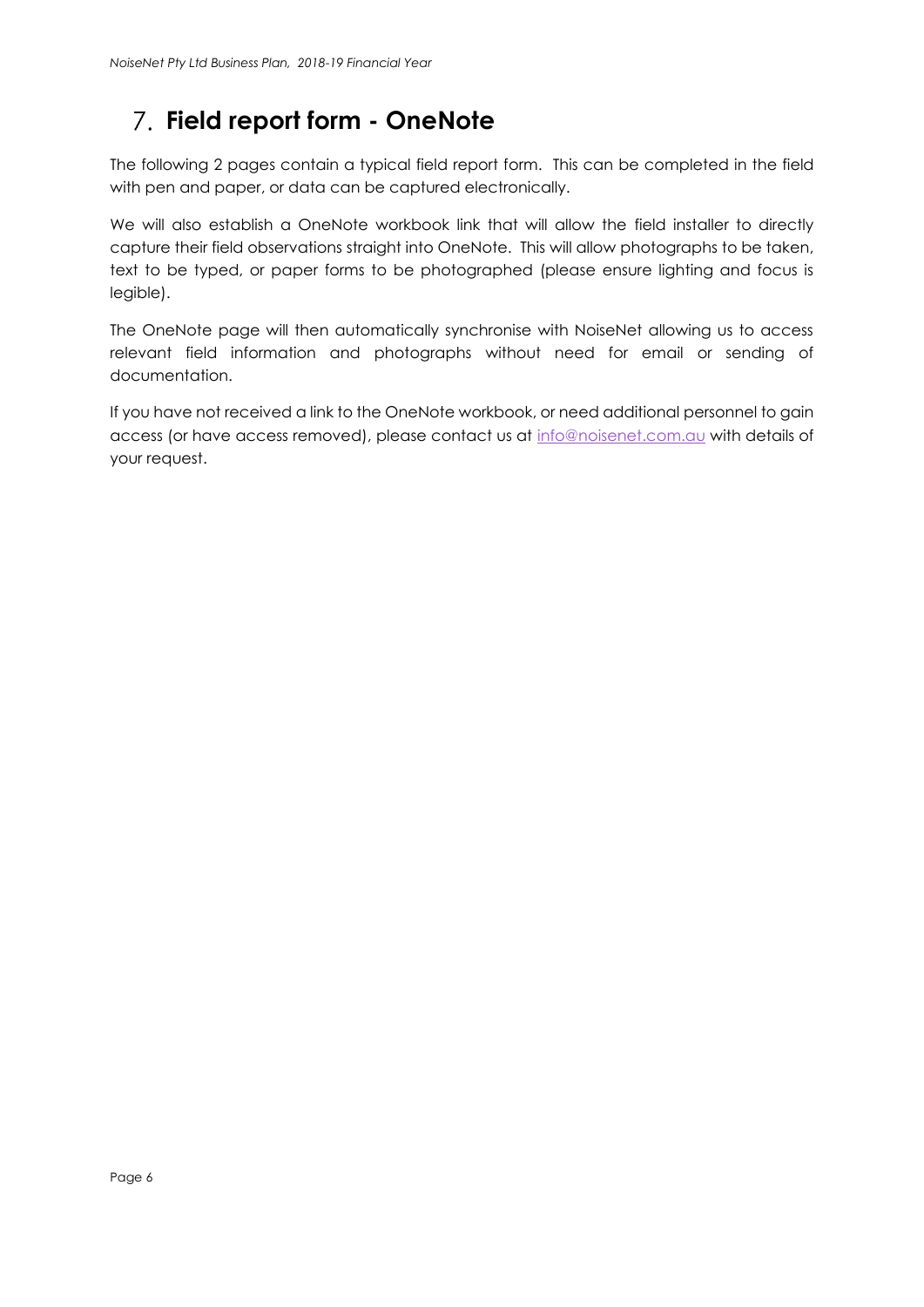# <span id="page-5-0"></span>**Field report form - OneNote**

The following 2 pages contain a typical field report form. This can be completed in the field with pen and paper, or data can be captured electronically.

We will also establish a OneNote workbook link that will allow the field installer to directly capture their field observations straight into OneNote. This will allow photographs to be taken, text to be typed, or paper forms to be photographed (please ensure lighting and focus is legible).

The OneNote page will then automatically synchronise with NoiseNet allowing us to access relevant field information and photographs without need for email or sending of documentation.

If you have not received a link to the OneNote workbook, or need additional personnel to gain access (or have access removed), please contact us at [info@noisenet.com.au](mailto:info@noisenet.com.au) with details of your request.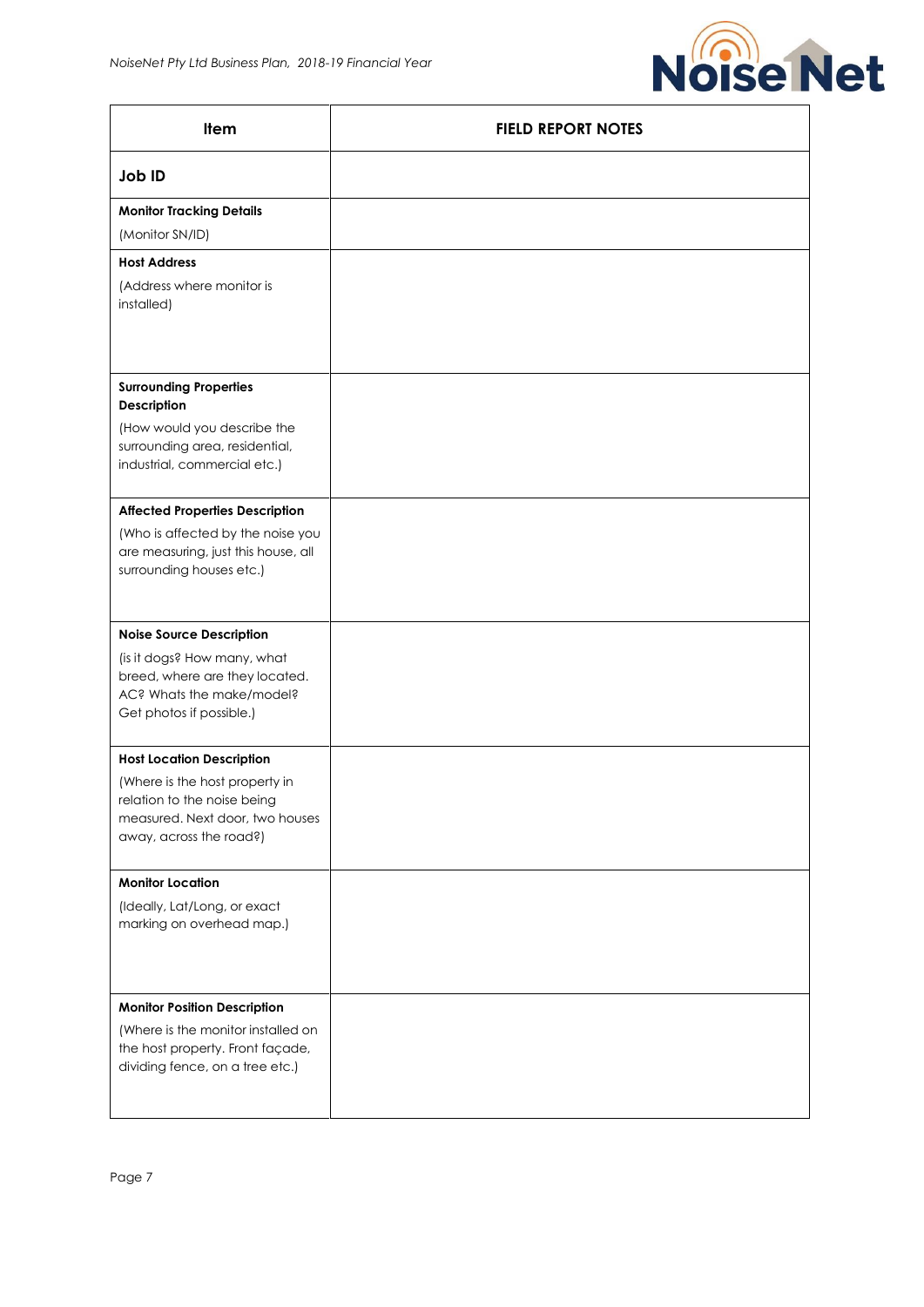

| Item                                                                                                                        | <b>FIELD REPORT NOTES</b> |
|-----------------------------------------------------------------------------------------------------------------------------|---------------------------|
| Job ID                                                                                                                      |                           |
| <b>Monitor Tracking Details</b>                                                                                             |                           |
| (Monitor SN/ID)                                                                                                             |                           |
| <b>Host Address</b>                                                                                                         |                           |
| (Address where monitor is<br>installed)                                                                                     |                           |
|                                                                                                                             |                           |
| <b>Surrounding Properties</b><br>Description                                                                                |                           |
| (How would you describe the                                                                                                 |                           |
| surrounding area, residential,<br>industrial, commercial etc.)                                                              |                           |
| <b>Affected Properties Description</b>                                                                                      |                           |
| (Who is affected by the noise you<br>are measuring, just this house, all<br>surrounding houses etc.)                        |                           |
| <b>Noise Source Description</b>                                                                                             |                           |
| (is it dogs? How many, what<br>breed, where are they located.<br>AC? Whats the make/model?<br>Get photos if possible.)      |                           |
| <b>Host Location Description</b>                                                                                            |                           |
| (Where is the host property in<br>relation to the noise being<br>measured. Next door, two houses<br>away, across the road?) |                           |
| <b>Monitor Location</b>                                                                                                     |                           |
| (Ideally, Lat/Long, or exact<br>marking on overhead map.)                                                                   |                           |
| <b>Monitor Position Description</b>                                                                                         |                           |
| (Where is the monitor installed on<br>the host property. Front façade,<br>dividing fence, on a tree etc.)                   |                           |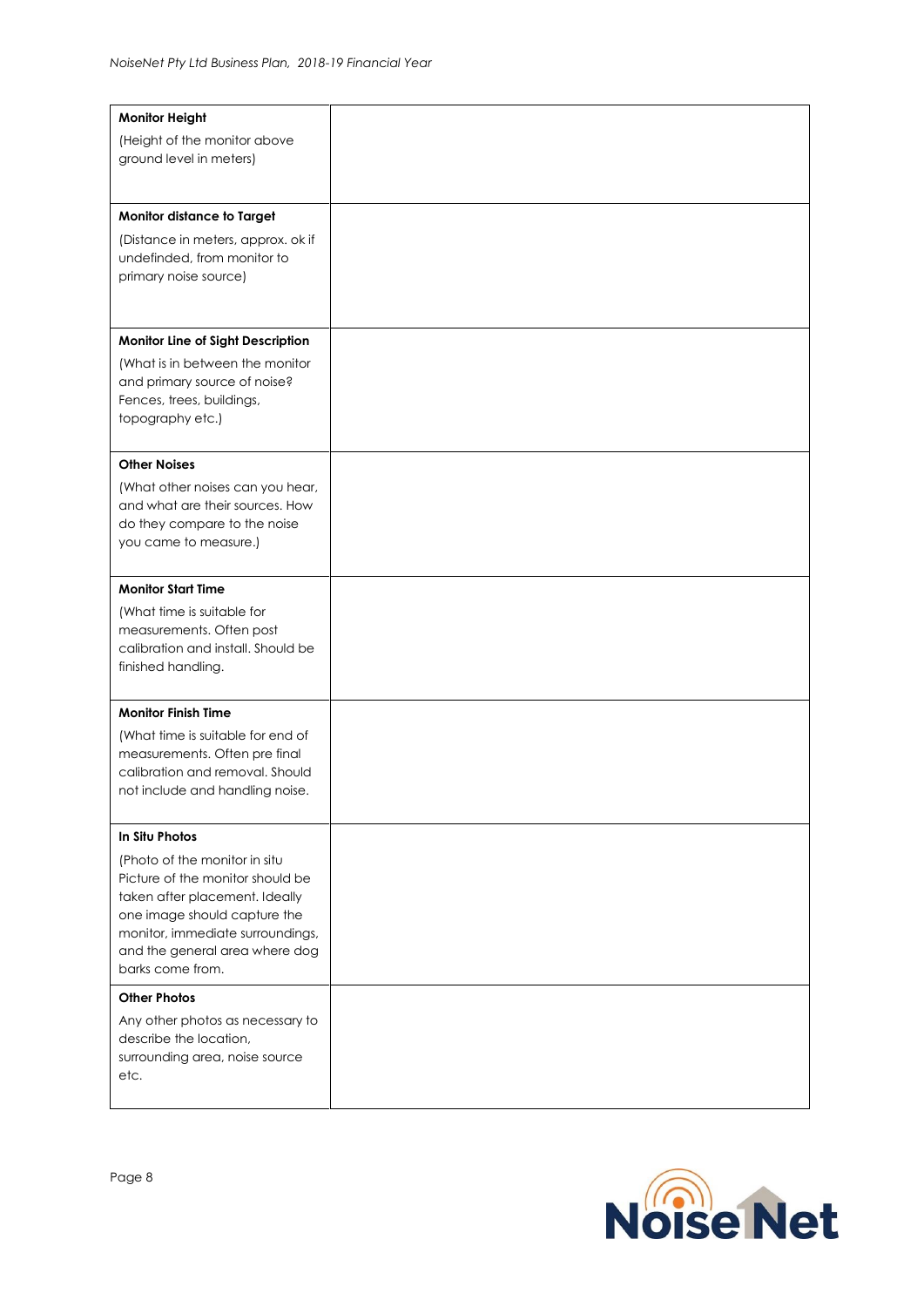| <b>Monitor Height</b>                              |  |
|----------------------------------------------------|--|
| (Height of the monitor above                       |  |
| ground level in meters)                            |  |
|                                                    |  |
|                                                    |  |
| Monitor distance to Target                         |  |
| (Distance in meters, approx. ok if                 |  |
| undefinded, from monitor to                        |  |
| primary noise source)                              |  |
|                                                    |  |
|                                                    |  |
| Monitor Line of Sight Description                  |  |
| (What is in between the monitor                    |  |
| and primary source of noise?                       |  |
| Fences, trees, buildings,                          |  |
| topography etc.)                                   |  |
|                                                    |  |
| <b>Other Noises</b>                                |  |
| (What other noises can you hear,                   |  |
| and what are their sources. How                    |  |
| do they compare to the noise                       |  |
| you came to measure.)                              |  |
|                                                    |  |
| <b>Monitor Start Time</b>                          |  |
| (What time is suitable for                         |  |
| measurements. Often post                           |  |
| calibration and install. Should be                 |  |
| finished handling.                                 |  |
|                                                    |  |
| <b>Monitor Finish Time</b>                         |  |
| (What time is suitable for end of                  |  |
| measurements. Often pre final                      |  |
| calibration and removal. Should                    |  |
| not include and handling noise.                    |  |
|                                                    |  |
| In Situ Photos                                     |  |
| (Photo of the monitor in situ                      |  |
| Picture of the monitor should be                   |  |
| taken after placement. Ideally                     |  |
| one image should capture the                       |  |
| monitor, immediate surroundings,                   |  |
| and the general area where dog<br>barks come from. |  |
|                                                    |  |
| <b>Other Photos</b>                                |  |
| Any other photos as necessary to                   |  |
| describe the location,                             |  |
| surrounding area, noise source                     |  |
| etc.                                               |  |
|                                                    |  |